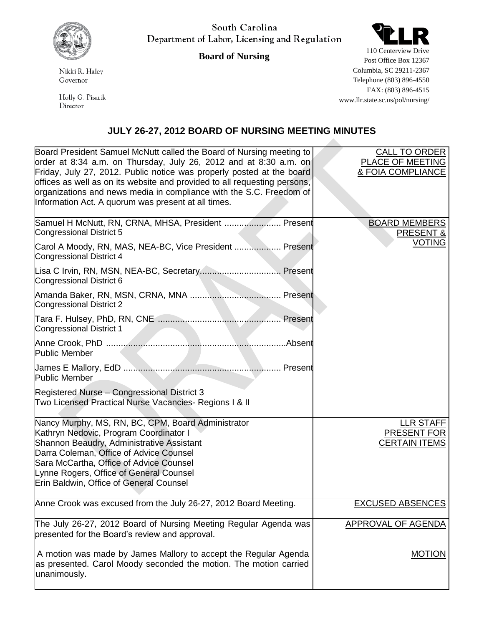

Nikki R. Haley Governor

Holly G. Pisarik Director

South Carolina Department of Labor, Licensing and Regulation

**Board of Nursing**



110 Centerview Drive Post Office Box 12367 Columbia, SC 29211-2367 Telephone (803) 896-4550 FAX: (803) 896-4515 www.llr.state.sc.us/pol/nursing/

## **JULY 26-27, 2012 BOARD OF NURSING MEETING MINUTES**

| Board President Samuel McNutt called the Board of Nursing meeting to<br>order at 8:34 a.m. on Thursday, July 26, 2012 and at 8:30 a.m. on<br>Friday, July 27, 2012. Public notice was properly posted at the board<br>offices as well as on its website and provided to all requesting persons,<br>organizations and news media in compliance with the S.C. Freedom of<br>Information Act. A quorum was present at all times. | <b>CALL TO ORDER</b><br>PLACE OF MEETING<br>& FOIA COMPLIANCE  |
|-------------------------------------------------------------------------------------------------------------------------------------------------------------------------------------------------------------------------------------------------------------------------------------------------------------------------------------------------------------------------------------------------------------------------------|----------------------------------------------------------------|
| Samuel H McNutt, RN, CRNA, MHSA, President  Present<br>Congressional District 5                                                                                                                                                                                                                                                                                                                                               | <b>BOARD MEMBERS</b><br><b>PRESENT &amp;</b>                   |
| Carol A Moody, RN, MAS, NEA-BC, Vice President  Present<br>Congressional District 4                                                                                                                                                                                                                                                                                                                                           | <b>VOTING</b>                                                  |
| Congressional District 6                                                                                                                                                                                                                                                                                                                                                                                                      |                                                                |
| Congressional District 2                                                                                                                                                                                                                                                                                                                                                                                                      |                                                                |
| Congressional District 1                                                                                                                                                                                                                                                                                                                                                                                                      |                                                                |
| <b>Public Member</b>                                                                                                                                                                                                                                                                                                                                                                                                          |                                                                |
| <b>Public Member</b>                                                                                                                                                                                                                                                                                                                                                                                                          |                                                                |
| Registered Nurse - Congressional District 3<br>Two Licensed Practical Nurse Vacancies- Regions I & II                                                                                                                                                                                                                                                                                                                         |                                                                |
| Nancy Murphy, MS, RN, BC, CPM, Board Administrator<br>Kathryn Nedovic, Program Coordinator I<br>Shannon Beaudry, Administrative Assistant<br>Darra Coleman, Office of Advice Counsel<br>Sara McCartha, Office of Advice Counsel<br>Lynne Rogers, Office of General Counsel<br>Erin Baldwin, Office of General Counsel                                                                                                         | <b>LLR STAFF</b><br><b>PRESENT FOR</b><br><b>CERTAIN ITEMS</b> |
| Anne Crook was excused from the July 26-27, 2012 Board Meeting.                                                                                                                                                                                                                                                                                                                                                               | <b>EXCUSED ABSENCES</b>                                        |
| The July 26-27, 2012 Board of Nursing Meeting Regular Agenda was<br>presented for the Board's review and approval.                                                                                                                                                                                                                                                                                                            | <b>APPROVAL OF AGENDA</b>                                      |
| A motion was made by James Mallory to accept the Regular Agenda<br>as presented. Carol Moody seconded the motion. The motion carried<br>unanimously.                                                                                                                                                                                                                                                                          | <b>MOTION</b>                                                  |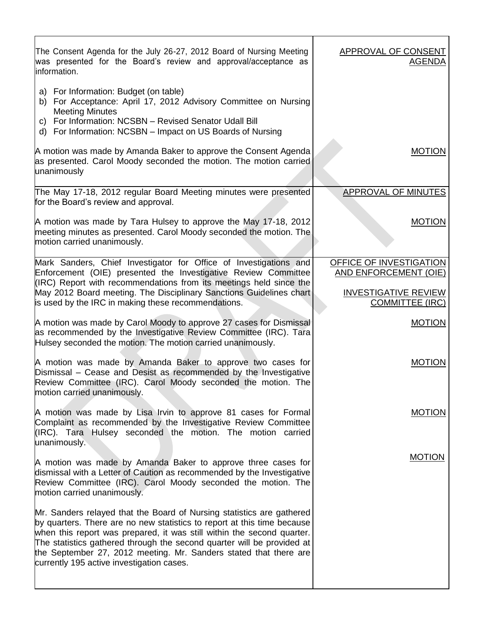| The Consent Agenda for the July 26-27, 2012 Board of Nursing Meeting<br>was presented for the Board's review and approval/acceptance as<br>information.                                                                                                                                                                                                                                                                | APPROVAL OF CONSENT<br><b>AGENDA</b>                    |
|------------------------------------------------------------------------------------------------------------------------------------------------------------------------------------------------------------------------------------------------------------------------------------------------------------------------------------------------------------------------------------------------------------------------|---------------------------------------------------------|
| a) For Information: Budget (on table)<br>b) For Acceptance: April 17, 2012 Advisory Committee on Nursing<br><b>Meeting Minutes</b><br>c) For Information: NCSBN - Revised Senator Udall Bill<br>d) For Information: NCSBN - Impact on US Boards of Nursing                                                                                                                                                             |                                                         |
| A motion was made by Amanda Baker to approve the Consent Agenda<br>as presented. Carol Moody seconded the motion. The motion carried<br>unanimously                                                                                                                                                                                                                                                                    | <b>MOTION</b>                                           |
| The May 17-18, 2012 regular Board Meeting minutes were presented<br>for the Board's review and approval.                                                                                                                                                                                                                                                                                                               | <b>APPROVAL OF MINUTES</b>                              |
| A motion was made by Tara Hulsey to approve the May 17-18, 2012<br>meeting minutes as presented. Carol Moody seconded the motion. The<br>motion carried unanimously.                                                                                                                                                                                                                                                   | <b>MOTION</b>                                           |
| Mark Sanders, Chief Investigator for Office of Investigations and<br>Enforcement (OIE) presented the Investigative Review Committee                                                                                                                                                                                                                                                                                    | OFFICE OF INVESTIGATION<br><b>AND ENFORCEMENT (OIE)</b> |
| (IRC) Report with recommendations from its meetings held since the<br>May 2012 Board meeting. The Disciplinary Sanctions Guidelines chart<br>is used by the IRC in making these recommendations.                                                                                                                                                                                                                       | <b>INVESTIGATIVE REVIEW</b><br><b>COMMITTEE (IRC)</b>   |
| A motion was made by Carol Moody to approve 27 cases for Dismissal<br>as recommended by the Investigative Review Committee (IRC). Tara<br>Hulsey seconded the motion. The motion carried unanimously.                                                                                                                                                                                                                  | <b>MOTION</b>                                           |
| A motion was made by Amanda Baker to approve two cases for<br>Dismissal – Cease and Desist as recommended by the Investigative<br>Review Committee (IRC). Carol Moody seconded the motion. The<br>motion carried unanimously.                                                                                                                                                                                          | <b>MOTION</b>                                           |
| A motion was made by Lisa Irvin to approve 81 cases for Formal<br>Complaint as recommended by the Investigative Review Committee<br>(IRC). Tara Hulsey seconded the motion. The motion carried<br>unanimously.                                                                                                                                                                                                         | <b>MOTION</b>                                           |
| A motion was made by Amanda Baker to approve three cases for<br>dismissal with a Letter of Caution as recommended by the Investigative<br>Review Committee (IRC). Carol Moody seconded the motion. The<br>motion carried unanimously.                                                                                                                                                                                  | <b>MOTION</b>                                           |
| Mr. Sanders relayed that the Board of Nursing statistics are gathered<br>by quarters. There are no new statistics to report at this time because<br>when this report was prepared, it was still within the second quarter.<br>The statistics gathered through the second quarter will be provided at<br>the September 27, 2012 meeting. Mr. Sanders stated that there are<br>currently 195 active investigation cases. |                                                         |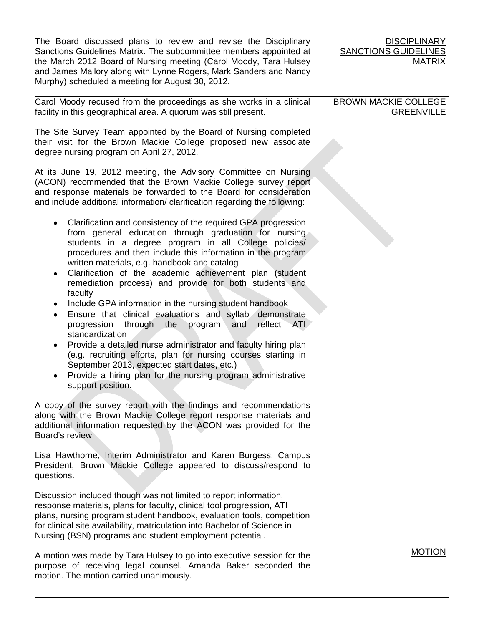| The Board discussed plans to review and revise the Disciplinary<br>Sanctions Guidelines Matrix. The subcommittee members appointed at<br>the March 2012 Board of Nursing meeting (Carol Moody, Tara Hulsey<br>and James Mallory along with Lynne Rogers, Mark Sanders and Nancy<br>Murphy) scheduled a meeting for August 30, 2012.                                                                                                                                                                                                                                                                                                               | <b>DISCIPLINARY</b><br><b>SANCTIONS GUIDELINES</b><br><b>MATRIX</b> |
|---------------------------------------------------------------------------------------------------------------------------------------------------------------------------------------------------------------------------------------------------------------------------------------------------------------------------------------------------------------------------------------------------------------------------------------------------------------------------------------------------------------------------------------------------------------------------------------------------------------------------------------------------|---------------------------------------------------------------------|
| Carol Moody recused from the proceedings as she works in a clinical<br>facility in this geographical area. A quorum was still present.                                                                                                                                                                                                                                                                                                                                                                                                                                                                                                            | <b>BROWN MACKIE COLLEGE</b><br><b>GREENVILLE</b>                    |
| The Site Survey Team appointed by the Board of Nursing completed<br>their visit for the Brown Mackie College proposed new associate<br>degree nursing program on April 27, 2012.                                                                                                                                                                                                                                                                                                                                                                                                                                                                  |                                                                     |
| At its June 19, 2012 meeting, the Advisory Committee on Nursing<br>(ACON) recommended that the Brown Mackie College survey report<br>and response materials be forwarded to the Board for consideration<br>and include additional information/ clarification regarding the following:                                                                                                                                                                                                                                                                                                                                                             |                                                                     |
| Clarification and consistency of the required GPA progression<br>from general education through graduation for nursing<br>students in a degree program in all College policies/<br>procedures and then include this information in the program<br>written materials, e.g. handbook and catalog<br>Clarification of the academic achievement plan (student<br>remediation process) and provide for both students and<br>faculty<br>Include GPA information in the nursing student handbook<br>Ensure that clinical evaluations and syllabi demonstrate<br>progression<br>through the<br>and<br>reflect<br><b>ATI</b><br>program<br>standardization |                                                                     |
| Provide a detailed nurse administrator and faculty hiring plan<br>(e.g. recruiting efforts, plan for nursing courses starting in<br>September 2013, expected start dates, etc.)<br>Provide a hiring plan for the nursing program administrative<br>support position.                                                                                                                                                                                                                                                                                                                                                                              |                                                                     |
| A copy of the survey report with the findings and recommendations<br>along with the Brown Mackie College report response materials and<br>additional information requested by the ACON was provided for the<br>Board's review                                                                                                                                                                                                                                                                                                                                                                                                                     |                                                                     |
| Lisa Hawthorne, Interim Administrator and Karen Burgess, Campus<br>President, Brown Mackie College appeared to discuss/respond to<br>questions.                                                                                                                                                                                                                                                                                                                                                                                                                                                                                                   |                                                                     |
| Discussion included though was not limited to report information,<br>response materials, plans for faculty, clinical tool progression, ATI<br>plans, nursing program student handbook, evaluation tools, competition<br>for clinical site availability, matriculation into Bachelor of Science in<br>Nursing (BSN) programs and student employment potential.                                                                                                                                                                                                                                                                                     |                                                                     |
| A motion was made by Tara Hulsey to go into executive session for the<br>purpose of receiving legal counsel. Amanda Baker seconded the<br>motion. The motion carried unanimously.                                                                                                                                                                                                                                                                                                                                                                                                                                                                 | <b>MOTION</b>                                                       |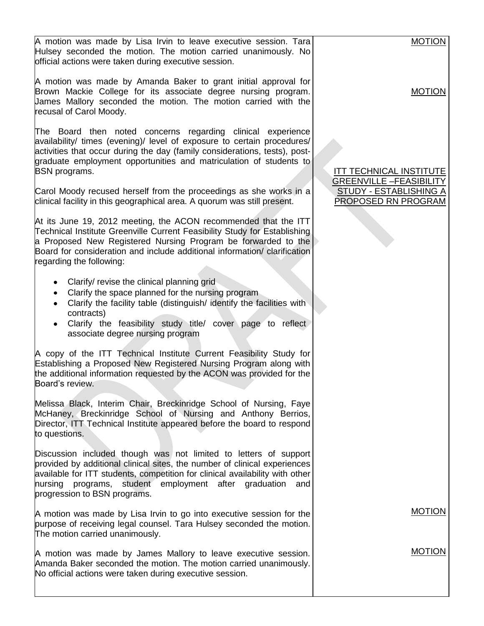| A motion was made by Lisa Irvin to leave executive session. Tara<br>Hulsey seconded the motion. The motion carried unanimously. No<br>official actions were taken during executive session.                                                                                                                                                                                                                                                                          | <b>MOTION</b>                                                                                                            |
|----------------------------------------------------------------------------------------------------------------------------------------------------------------------------------------------------------------------------------------------------------------------------------------------------------------------------------------------------------------------------------------------------------------------------------------------------------------------|--------------------------------------------------------------------------------------------------------------------------|
| A motion was made by Amanda Baker to grant initial approval for<br>Brown Mackie College for its associate degree nursing program.<br>James Mallory seconded the motion. The motion carried with the<br>recusal of Carol Moody.                                                                                                                                                                                                                                       | <b>MOTION</b>                                                                                                            |
| The Board then noted concerns regarding clinical experience<br>availability/ times (evening)/ level of exposure to certain procedures/<br>activities that occur during the day (family considerations, tests), post-<br>graduate employment opportunities and matriculation of students to<br><b>BSN</b> programs.<br>Carol Moody recused herself from the proceedings as she works in a<br>clinical facility in this geographical area. A quorum was still present. | <b>ITT TECHNICAL INSTITUTE</b><br><b>GREENVILLE -FEASIBILITY</b><br><b>STUDY - ESTABLISHING A</b><br>PROPOSED RN PROGRAM |
| At its June 19, 2012 meeting, the ACON recommended that the ITT<br>Technical Institute Greenville Current Feasibility Study for Establishing<br>a Proposed New Registered Nursing Program be forwarded to the<br>Board for consideration and include additional information/ clarification<br>regarding the following:                                                                                                                                               |                                                                                                                          |
| Clarify/ revise the clinical planning grid<br>Clarify the space planned for the nursing program<br>$\bullet$<br>Clarify the facility table (distinguish/ identify the facilities with<br>contracts)<br>Clarify the feasibility study title/ cover page to reflect<br>associate degree nursing program                                                                                                                                                                |                                                                                                                          |
| A copy of the ITT Technical Institute Current Feasibility Study for<br>Establishing a Proposed New Registered Nursing Program along with<br>the additional information requested by the ACON was provided for the<br>Board's review.                                                                                                                                                                                                                                 |                                                                                                                          |
| Melissa Black, Interim Chair, Breckinridge School of Nursing, Faye<br>McHaney, Breckinridge School of Nursing and Anthony Berrios,<br>Director, ITT Technical Institute appeared before the board to respond<br>to questions.                                                                                                                                                                                                                                        |                                                                                                                          |
| Discussion included though was not limited to letters of support<br>provided by additional clinical sites, the number of clinical experiences<br>available for ITT students, competition for clinical availability with other<br>nursing programs, student employment after graduation<br>and<br>progression to BSN programs.                                                                                                                                        |                                                                                                                          |
| A motion was made by Lisa Irvin to go into executive session for the<br>purpose of receiving legal counsel. Tara Hulsey seconded the motion.<br>The motion carried unanimously.                                                                                                                                                                                                                                                                                      | <b>MOTION</b>                                                                                                            |
| A motion was made by James Mallory to leave executive session.<br>Amanda Baker seconded the motion. The motion carried unanimously.<br>No official actions were taken during executive session.                                                                                                                                                                                                                                                                      | <b>MOTION</b>                                                                                                            |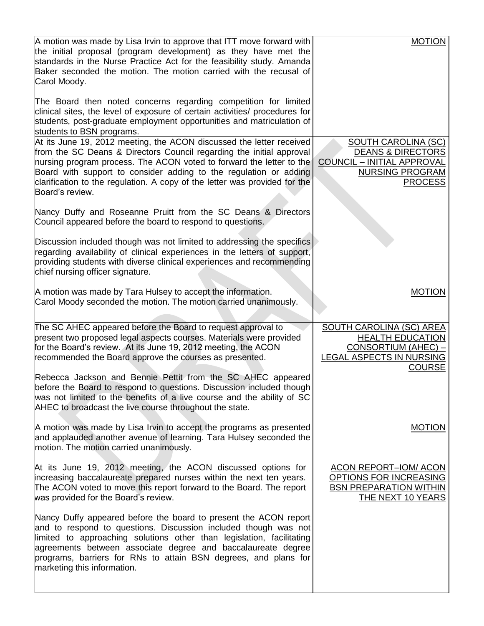| A motion was made by Lisa Irvin to approve that ITT move forward with<br>the initial proposal (program development) as they have met the<br>standards in the Nurse Practice Act for the feasibility study. Amanda<br>Baker seconded the motion. The motion carried with the recusal of<br>Carol Moody.                                                                                     | <b>MOTION</b>                                                                                                                                |
|--------------------------------------------------------------------------------------------------------------------------------------------------------------------------------------------------------------------------------------------------------------------------------------------------------------------------------------------------------------------------------------------|----------------------------------------------------------------------------------------------------------------------------------------------|
| The Board then noted concerns regarding competition for limited<br>clinical sites, the level of exposure of certain activities/ procedures for<br>students, post-graduate employment opportunities and matriculation of<br>students to BSN programs.                                                                                                                                       |                                                                                                                                              |
| At its June 19, 2012 meeting, the ACON discussed the letter received<br>from the SC Deans & Directors Council regarding the initial approval<br>nursing program process. The ACON voted to forward the letter to the<br>Board with support to consider adding to the regulation or adding<br>clarification to the regulation. A copy of the letter was provided for the<br>Board's review. | <b>SOUTH CAROLINA (SC)</b><br><b>DEANS &amp; DIRECTORS</b><br><b>COUNCIL - INITIAL APPROVAL</b><br><b>NURSING PROGRAM</b><br><b>PROCESS</b>  |
| Nancy Duffy and Roseanne Pruitt from the SC Deans & Directors<br>Council appeared before the board to respond to questions.                                                                                                                                                                                                                                                                |                                                                                                                                              |
| Discussion included though was not limited to addressing the specifics<br>regarding availability of clinical experiences in the letters of support,<br>providing students with diverse clinical experiences and recommending<br>chief nursing officer signature.                                                                                                                           |                                                                                                                                              |
| A motion was made by Tara Hulsey to accept the information.<br>Carol Moody seconded the motion. The motion carried unanimously.                                                                                                                                                                                                                                                            | <b>MOTION</b>                                                                                                                                |
| The SC AHEC appeared before the Board to request approval to<br>present two proposed legal aspects courses. Materials were provided<br>for the Board's review. At its June 19, 2012 meeting, the ACON<br>recommended the Board approve the courses as presented.                                                                                                                           | <b>SOUTH CAROLINA (SC) AREA</b><br><b>HEALTH EDUCATION</b><br><b>CONSORTIUM (AHEC) -</b><br><b>LEGAL ASPECTS IN NURSING</b><br><b>COURSE</b> |
| Rebecca Jackson and Bennie Pettit from the SC AHEC appeared<br>before the Board to respond to questions. Discussion included though<br>was not limited to the benefits of a live course and the ability of SC<br>AHEC to broadcast the live course throughout the state.                                                                                                                   |                                                                                                                                              |
| A motion was made by Lisa Irvin to accept the programs as presented<br>and applauded another avenue of learning. Tara Hulsey seconded the<br>motion. The motion carried unanimously.                                                                                                                                                                                                       | <b>MOTION</b>                                                                                                                                |
| At its June 19, 2012 meeting, the ACON discussed options for<br>increasing baccalaureate prepared nurses within the next ten years.<br>The ACON voted to move this report forward to the Board. The report<br>was provided for the Board's review.                                                                                                                                         | <b>ACON REPORT-IOM/ ACON</b><br>OPTIONS FOR INCREASING<br><b>BSN PREPARATION WITHIN</b><br>THE NEXT 10 YEARS                                 |
| Nancy Duffy appeared before the board to present the ACON report<br>and to respond to questions. Discussion included though was not<br>limited to approaching solutions other than legislation, facilitating<br>agreements between associate degree and baccalaureate degree<br>programs, barriers for RNs to attain BSN degrees, and plans for<br>marketing this information.             |                                                                                                                                              |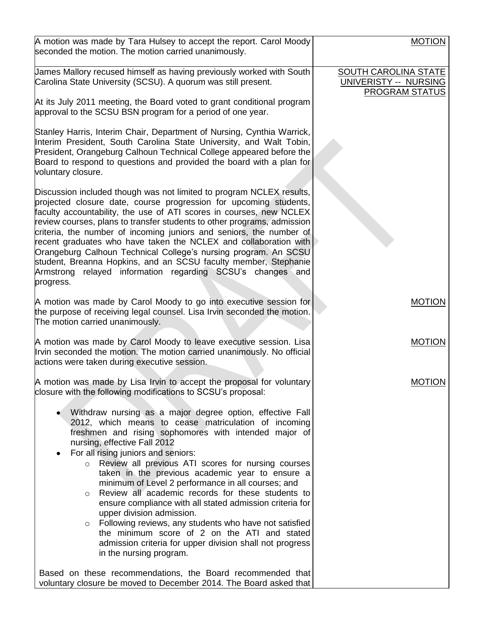| A motion was made by Tara Hulsey to accept the report. Carol Moody<br>seconded the motion. The motion carried unanimously.                                                                                                                                                                                                                                                                                                                                                                                                                                                                                                                                                                                                                                                              | <b>MOTION</b>                                                                        |
|-----------------------------------------------------------------------------------------------------------------------------------------------------------------------------------------------------------------------------------------------------------------------------------------------------------------------------------------------------------------------------------------------------------------------------------------------------------------------------------------------------------------------------------------------------------------------------------------------------------------------------------------------------------------------------------------------------------------------------------------------------------------------------------------|--------------------------------------------------------------------------------------|
| James Mallory recused himself as having previously worked with South<br>Carolina State University (SCSU). A quorum was still present.                                                                                                                                                                                                                                                                                                                                                                                                                                                                                                                                                                                                                                                   | <b>SOUTH CAROLINA STATE</b><br><b>UNIVERISTY -- NURSING</b><br><b>PROGRAM STATUS</b> |
| At its July 2011 meeting, the Board voted to grant conditional program<br>approval to the SCSU BSN program for a period of one year.                                                                                                                                                                                                                                                                                                                                                                                                                                                                                                                                                                                                                                                    |                                                                                      |
| Stanley Harris, Interim Chair, Department of Nursing, Cynthia Warrick,<br>Interim President, South Carolina State University, and Walt Tobin,<br>President, Orangeburg Calhoun Technical College appeared before the<br>Board to respond to questions and provided the board with a plan for<br>voluntary closure.                                                                                                                                                                                                                                                                                                                                                                                                                                                                      |                                                                                      |
| Discussion included though was not limited to program NCLEX results,<br>projected closure date, course progression for upcoming students,<br>faculty accountability, the use of ATI scores in courses, new NCLEX<br>review courses, plans to transfer students to other programs, admission<br>criteria, the number of incoming juniors and seniors, the number of<br>recent graduates who have taken the NCLEX and collaboration with<br>Orangeburg Calhoun Technical College's nursing program. An SCSU<br>student, Breanna Hopkins, and an SCSU faculty member, Stephanie<br>Armstrong relayed information regarding SCSU's changes and<br>progress.                                                                                                                                 |                                                                                      |
| A motion was made by Carol Moody to go into executive session for<br>the purpose of receiving legal counsel. Lisa Irvin seconded the motion.<br>The motion carried unanimously.                                                                                                                                                                                                                                                                                                                                                                                                                                                                                                                                                                                                         | <b>MOTION</b>                                                                        |
| A motion was made by Carol Moody to leave executive session. Lisa<br>Irvin seconded the motion. The motion carried unanimously. No official<br>actions were taken during executive session.                                                                                                                                                                                                                                                                                                                                                                                                                                                                                                                                                                                             | <b>MOTION</b>                                                                        |
| A motion was made by Lisa Irvin to accept the proposal for voluntary<br>closure with the following modifications to SCSU's proposal:                                                                                                                                                                                                                                                                                                                                                                                                                                                                                                                                                                                                                                                    | <b>MOTION</b>                                                                        |
| Withdraw nursing as a major degree option, effective Fall<br>2012, which means to cease matriculation of incoming<br>freshmen and rising sophomores with intended major of<br>nursing, effective Fall 2012<br>For all rising juniors and seniors:<br>o Review all previous ATI scores for nursing courses<br>taken in the previous academic year to ensure a<br>minimum of Level 2 performance in all courses; and<br>Review all academic records for these students to<br>$\circ$<br>ensure compliance with all stated admission criteria for<br>upper division admission.<br>Following reviews, any students who have not satisfied<br>$\circ$<br>the minimum score of 2 on the ATI and stated<br>admission criteria for upper division shall not progress<br>in the nursing program. |                                                                                      |
| Based on these recommendations, the Board recommended that<br>voluntary closure be moved to December 2014. The Board asked that                                                                                                                                                                                                                                                                                                                                                                                                                                                                                                                                                                                                                                                         |                                                                                      |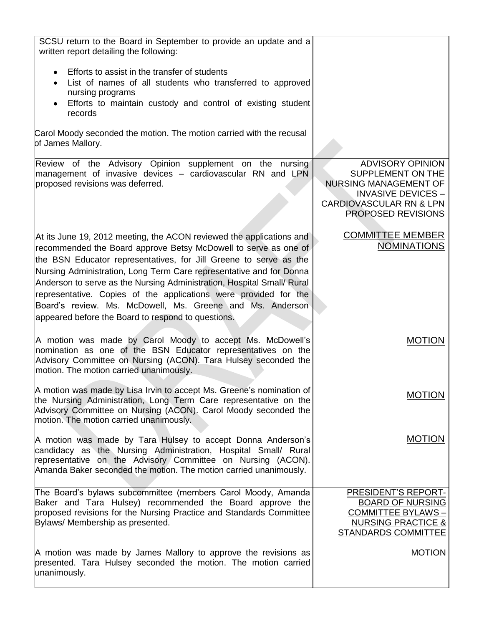| SCSU return to the Board in September to provide an update and a<br>written report detailing the following:                                                                                                                                                                                                                                                                                                                                                                                                                                          |                                                                                                                                                            |
|------------------------------------------------------------------------------------------------------------------------------------------------------------------------------------------------------------------------------------------------------------------------------------------------------------------------------------------------------------------------------------------------------------------------------------------------------------------------------------------------------------------------------------------------------|------------------------------------------------------------------------------------------------------------------------------------------------------------|
| Efforts to assist in the transfer of students<br>List of names of all students who transferred to approved<br>nursing programs<br>Efforts to maintain custody and control of existing student<br>records                                                                                                                                                                                                                                                                                                                                             |                                                                                                                                                            |
| Carol Moody seconded the motion. The motion carried with the recusal<br>of James Mallory.                                                                                                                                                                                                                                                                                                                                                                                                                                                            |                                                                                                                                                            |
| Review of the Advisory Opinion supplement on the nursing<br>management of invasive devices - cardiovascular RN and LPN<br>proposed revisions was deferred.                                                                                                                                                                                                                                                                                                                                                                                           | <b>ADVISORY OPINION</b><br>SUPPLEMENT ON THE<br><b>NURSING MANAGEMENT OF</b><br><b>INVASIVE DEVICES -</b><br>CARDIOVASCULAR RN & LPN<br>PROPOSED REVISIONS |
| At its June 19, 2012 meeting, the ACON reviewed the applications and<br>recommended the Board approve Betsy McDowell to serve as one of<br>the BSN Educator representatives, for Jill Greene to serve as the<br>Nursing Administration, Long Term Care representative and for Donna<br>Anderson to serve as the Nursing Administration, Hospital Small/ Rural<br>representative. Copies of the applications were provided for the<br>Board's review. Ms. McDowell, Ms. Greene and Ms. Anderson<br>appeared before the Board to respond to questions. | <b>COMMITTEE MEMBER</b><br><b>NOMINATIONS</b>                                                                                                              |
| A motion was made by Carol Moody to accept Ms. McDowell's<br>nomination as one of the BSN Educator representatives on the<br>Advisory Committee on Nursing (ACON). Tara Hulsey seconded the<br>motion. The motion carried unanimously.                                                                                                                                                                                                                                                                                                               | <b>MOTION</b>                                                                                                                                              |
| A motion was made by Lisa Irvin to accept Ms. Greene's nomination of<br>the Nursing Administration, Long Term Care representative on the<br>Advisory Committee on Nursing (ACON). Carol Moody seconded the<br>motion. The motion carried unanimously.                                                                                                                                                                                                                                                                                                | <b>MOTION</b>                                                                                                                                              |
| A motion was made by Tara Hulsey to accept Donna Anderson's<br>candidacy as the Nursing Administration, Hospital Small/ Rural<br>representative on the Advisory Committee on Nursing (ACON).<br>Amanda Baker seconded the motion. The motion carried unanimously.                                                                                                                                                                                                                                                                                    | <b>MOTION</b>                                                                                                                                              |
| The Board's bylaws subcommittee (members Carol Moody, Amanda<br>Baker and Tara Hulsey) recommended the Board approve the<br>proposed revisions for the Nursing Practice and Standards Committee<br>Bylaws/ Membership as presented.                                                                                                                                                                                                                                                                                                                  | PRESIDENT'S REPORT-<br><b>BOARD OF NURSING</b><br><b>COMMITTEE BYLAWS-</b><br><b>NURSING PRACTICE &amp;</b><br><b>STANDARDS COMMITTEE</b>                  |
| A motion was made by James Mallory to approve the revisions as<br>presented. Tara Hulsey seconded the motion. The motion carried<br>unanimously.                                                                                                                                                                                                                                                                                                                                                                                                     | <b>MOTION</b>                                                                                                                                              |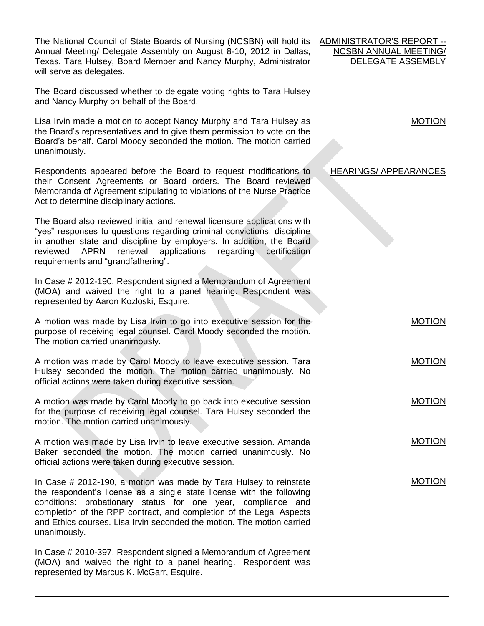| The National Council of State Boards of Nursing (NCSBN) will hold its                                                                                                                                                                                                                                                                                                       | ADMINISTRATOR'S REPORT --                         |
|-----------------------------------------------------------------------------------------------------------------------------------------------------------------------------------------------------------------------------------------------------------------------------------------------------------------------------------------------------------------------------|---------------------------------------------------|
| Annual Meeting/ Delegate Assembly on August 8-10, 2012 in Dallas,<br>Texas. Tara Hulsey, Board Member and Nancy Murphy, Administrator<br>will serve as delegates.                                                                                                                                                                                                           | <b>NCSBN ANNUAL MEETING/</b><br>DELEGATE ASSEMBLY |
| The Board discussed whether to delegate voting rights to Tara Hulsey<br>and Nancy Murphy on behalf of the Board.                                                                                                                                                                                                                                                            |                                                   |
| Lisa Irvin made a motion to accept Nancy Murphy and Tara Hulsey as<br>the Board's representatives and to give them permission to vote on the<br>Board's behalf. Carol Moody seconded the motion. The motion carried<br>unanimously.                                                                                                                                         | <b>MOTION</b>                                     |
| Respondents appeared before the Board to request modifications to<br>their Consent Agreements or Board orders. The Board reviewed<br>Memoranda of Agreement stipulating to violations of the Nurse Practice<br>Act to determine disciplinary actions.                                                                                                                       | <b>HEARINGS/ APPEARANCES</b>                      |
| The Board also reviewed initial and renewal licensure applications with<br>"yes" responses to questions regarding criminal convictions, discipline<br>in another state and discipline by employers. In addition, the Board<br><b>APRN</b><br>renewal<br>applications<br>reviewed<br>regarding<br>certification<br>requirements and "grandfathering".                        |                                                   |
| In Case # 2012-190, Respondent signed a Memorandum of Agreement<br>(MOA) and waived the right to a panel hearing. Respondent was<br>represented by Aaron Kozloski, Esquire.                                                                                                                                                                                                 |                                                   |
| A motion was made by Lisa Irvin to go into executive session for the<br>purpose of receiving legal counsel. Carol Moody seconded the motion.<br>The motion carried unanimously.                                                                                                                                                                                             | <b>MOTION</b>                                     |
| A motion was made by Carol Moody to leave executive session. Tara<br>Hulsey seconded the motion. The motion carried unanimously. No<br>official actions were taken during executive session.                                                                                                                                                                                | <b>MOTION</b>                                     |
| A motion was made by Carol Moody to go back into executive session<br>for the purpose of receiving legal counsel. Tara Hulsey seconded the<br>motion. The motion carried unanimously.                                                                                                                                                                                       | <b>MOTION</b>                                     |
| A motion was made by Lisa Irvin to leave executive session. Amanda<br>Baker seconded the motion. The motion carried unanimously. No<br>official actions were taken during executive session.                                                                                                                                                                                | <b>MOTION</b>                                     |
| In Case # 2012-190, a motion was made by Tara Hulsey to reinstate<br>the respondent's license as a single state license with the following<br>conditions: probationary status for one year, compliance and<br>completion of the RPP contract, and completion of the Legal Aspects<br>and Ethics courses. Lisa Irvin seconded the motion. The motion carried<br>unanimously. | <b>MOTION</b>                                     |
| In Case # 2010-397, Respondent signed a Memorandum of Agreement<br>(MOA) and waived the right to a panel hearing. Respondent was<br>represented by Marcus K. McGarr, Esquire.                                                                                                                                                                                               |                                                   |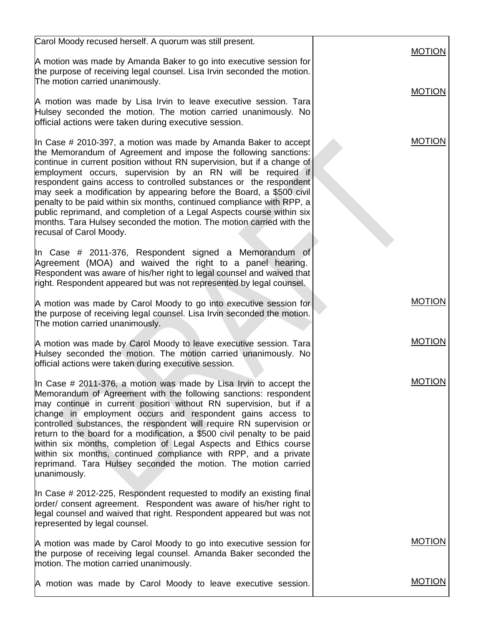| Carol Moody recused herself. A quorum was still present.                                                                                                                                                                                                                                                                                                                                                                                                                                                                                                                                                                                                                         |               |
|----------------------------------------------------------------------------------------------------------------------------------------------------------------------------------------------------------------------------------------------------------------------------------------------------------------------------------------------------------------------------------------------------------------------------------------------------------------------------------------------------------------------------------------------------------------------------------------------------------------------------------------------------------------------------------|---------------|
| A motion was made by Amanda Baker to go into executive session for<br>the purpose of receiving legal counsel. Lisa Irvin seconded the motion.<br>The motion carried unanimously.                                                                                                                                                                                                                                                                                                                                                                                                                                                                                                 | <b>MOTION</b> |
| A motion was made by Lisa Irvin to leave executive session. Tara<br>Hulsey seconded the motion. The motion carried unanimously. No<br>official actions were taken during executive session.                                                                                                                                                                                                                                                                                                                                                                                                                                                                                      | <b>MOTION</b> |
| In Case # 2010-397, a motion was made by Amanda Baker to accept<br>the Memorandum of Agreement and impose the following sanctions:<br>continue in current position without RN supervision, but if a change of<br>employment occurs, supervision by an RN will be required if<br>respondent gains access to controlled substances or the respondent<br>may seek a modification by appearing before the Board, a \$500 civil<br>penalty to be paid within six months, continued compliance with RPP, a<br>public reprimand, and completion of a Legal Aspects course within six<br>months. Tara Hulsey seconded the motion. The motion carried with the<br>recusal of Carol Moody. | <b>MOTION</b> |
| In Case # 2011-376, Respondent signed a Memorandum of<br>Agreement (MOA) and waived the right to a panel hearing.<br>Respondent was aware of his/her right to legal counsel and waived that<br>right. Respondent appeared but was not represented by legal counsel.                                                                                                                                                                                                                                                                                                                                                                                                              |               |
| A motion was made by Carol Moody to go into executive session for<br>the purpose of receiving legal counsel. Lisa Irvin seconded the motion.<br>The motion carried unanimously.                                                                                                                                                                                                                                                                                                                                                                                                                                                                                                  | <b>MOTION</b> |
| A motion was made by Carol Moody to leave executive session. Tara<br>Hulsey seconded the motion. The motion carried unanimously. No<br>official actions were taken during executive session.                                                                                                                                                                                                                                                                                                                                                                                                                                                                                     | <b>MOTION</b> |
| In Case $\#$ 2011-376, a motion was made by Lisa Irvin to accept the<br>Memorandum of Agreement with the following sanctions: respondent<br>may continue in current position without RN supervision, but if a<br>change in employment occurs and respondent gains access to<br>controlled substances, the respondent will require RN supervision or<br>return to the board for a modification, a \$500 civil penalty to be paid<br>within six months, completion of Legal Aspects and Ethics course<br>within six months, continued compliance with RPP, and a private<br>reprimand. Tara Hulsey seconded the motion. The motion carried<br>unanimously.                         | <b>MOTION</b> |
| In Case # 2012-225, Respondent requested to modify an existing final<br>order/ consent agreement. Respondent was aware of his/her right to<br>legal counsel and waived that right. Respondent appeared but was not<br>represented by legal counsel.                                                                                                                                                                                                                                                                                                                                                                                                                              |               |
| A motion was made by Carol Moody to go into executive session for<br>the purpose of receiving legal counsel. Amanda Baker seconded the<br>motion. The motion carried unanimously.                                                                                                                                                                                                                                                                                                                                                                                                                                                                                                | <b>MOTION</b> |
| A motion was made by Carol Moody to leave executive session.                                                                                                                                                                                                                                                                                                                                                                                                                                                                                                                                                                                                                     | <b>MOTION</b> |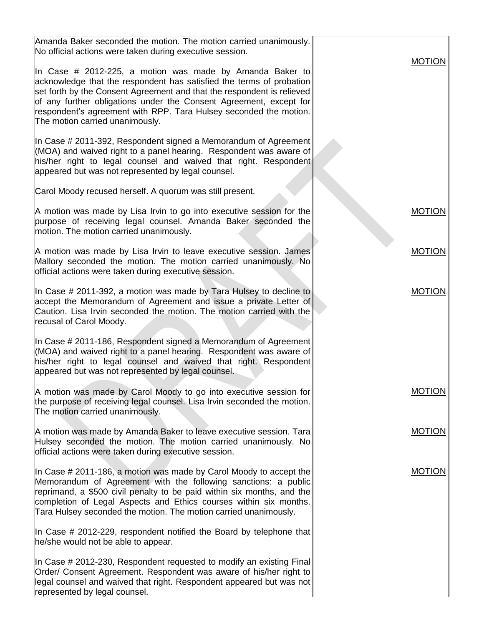| Amanda Baker seconded the motion. The motion carried unanimously.<br>No official actions were taken during executive session.                                                                                                                                                                                                                                                            | <b>MOTION</b> |
|------------------------------------------------------------------------------------------------------------------------------------------------------------------------------------------------------------------------------------------------------------------------------------------------------------------------------------------------------------------------------------------|---------------|
| In Case # 2012-225, a motion was made by Amanda Baker to<br>acknowledge that the respondent has satisfied the terms of probation<br>set forth by the Consent Agreement and that the respondent is relieved<br>of any further obligations under the Consent Agreement, except for<br>respondent's agreement with RPP. Tara Hulsey seconded the motion.<br>The motion carried unanimously. |               |
| In Case # 2011-392, Respondent signed a Memorandum of Agreement<br>(MOA) and waived right to a panel hearing. Respondent was aware of<br>his/her right to legal counsel and waived that right. Respondent<br>appeared but was not represented by legal counsel.                                                                                                                          |               |
| Carol Moody recused herself. A quorum was still present.                                                                                                                                                                                                                                                                                                                                 |               |
| A motion was made by Lisa Irvin to go into executive session for the<br>purpose of receiving legal counsel. Amanda Baker seconded the<br>motion. The motion carried unanimously.                                                                                                                                                                                                         | <b>MOTION</b> |
| A motion was made by Lisa Irvin to leave executive session. James<br>Mallory seconded the motion. The motion carried unanimously. No<br>official actions were taken during executive session.                                                                                                                                                                                            | <b>MOTION</b> |
| In Case # 2011-392, a motion was made by Tara Hulsey to decline to<br>accept the Memorandum of Agreement and issue a private Letter of<br>Caution. Lisa Irvin seconded the motion. The motion carried with the<br>recusal of Carol Moody.                                                                                                                                                | <b>MOTION</b> |
| In Case # 2011-186, Respondent signed a Memorandum of Agreement<br>(MOA) and waived right to a panel hearing. Respondent was aware of<br>his/her right to legal counsel and waived that right. Respondent<br>appeared but was not represented by legal counsel.                                                                                                                          |               |
| A motion was made by Carol Moody to go into executive session for<br>the purpose of receiving legal counsel. Lisa Irvin seconded the motion.<br>The motion carried unanimously.                                                                                                                                                                                                          | <b>MOTION</b> |
| A motion was made by Amanda Baker to leave executive session. Tara<br>Hulsey seconded the motion. The motion carried unanimously. No<br>official actions were taken during executive session.                                                                                                                                                                                            | <b>MOTION</b> |
| In Case $\#$ 2011-186, a motion was made by Carol Moody to accept the<br>Memorandum of Agreement with the following sanctions: a public<br>reprimand, a \$500 civil penalty to be paid within six months, and the<br>completion of Legal Aspects and Ethics courses within six months.<br>Tara Hulsey seconded the motion. The motion carried unanimously.                               | <b>MOTION</b> |
| In Case $\#$ 2012-229, respondent notified the Board by telephone that<br>he/she would not be able to appear.                                                                                                                                                                                                                                                                            |               |
| In Case # 2012-230, Respondent requested to modify an existing Final<br>Order/ Consent Agreement. Respondent was aware of his/her right to<br>legal counsel and waived that right. Respondent appeared but was not<br>represented by legal counsel.                                                                                                                                      |               |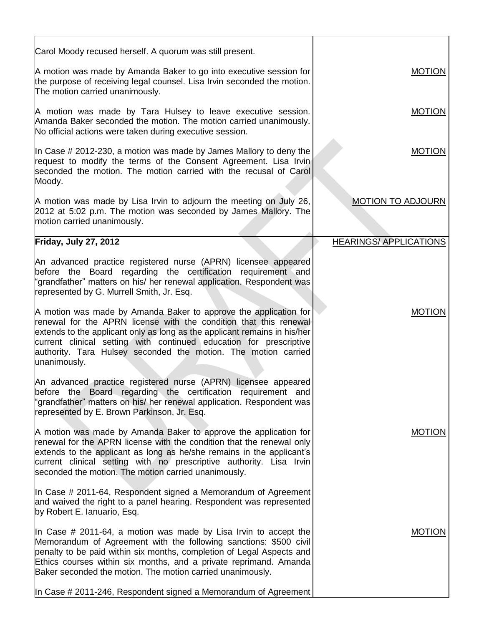| Carol Moody recused herself. A quorum was still present.                                                                                                                                                                                                                                                                                                                                      |                              |
|-----------------------------------------------------------------------------------------------------------------------------------------------------------------------------------------------------------------------------------------------------------------------------------------------------------------------------------------------------------------------------------------------|------------------------------|
| A motion was made by Amanda Baker to go into executive session for<br>the purpose of receiving legal counsel. Lisa Irvin seconded the motion.<br>The motion carried unanimously.                                                                                                                                                                                                              | <b>MOTION</b>                |
| A motion was made by Tara Hulsey to leave executive session.<br>Amanda Baker seconded the motion. The motion carried unanimously.<br>No official actions were taken during executive session.                                                                                                                                                                                                 | <b>MOTION</b>                |
| In Case # 2012-230, a motion was made by James Mallory to deny the<br>request to modify the terms of the Consent Agreement. Lisa Irvin<br>seconded the motion. The motion carried with the recusal of Carol<br>Moody.                                                                                                                                                                         | <b>MOTION</b>                |
| A motion was made by Lisa Irvin to adjourn the meeting on July 26,<br>2012 at 5:02 p.m. The motion was seconded by James Mallory. The<br>motion carried unanimously.                                                                                                                                                                                                                          | <b>MOTION TO ADJOURN</b>     |
| Friday, July 27, 2012                                                                                                                                                                                                                                                                                                                                                                         | <b>HEARINGS/APPLICATIONS</b> |
| An advanced practice registered nurse (APRN) licensee appeared<br>before the Board regarding the certification requirement and<br>"grandfather" matters on his/ her renewal application. Respondent was<br>represented by G. Murrell Smith, Jr. Esq.<br>A motion was made by Amanda Baker to approve the application for<br>renewal for the APRN license with the condition that this renewal | <b>MOTION</b>                |
| extends to the applicant only as long as the applicant remains in his/her<br>current clinical setting with continued education for prescriptive<br>authority. Tara Hulsey seconded the motion. The motion carried<br>unanimously.                                                                                                                                                             |                              |
| An advanced practice registered nurse (APRN) licensee appeared<br>before the Board regarding the certification requirement and<br>"grandfather" matters on his/ her renewal application. Respondent was<br>represented by E. Brown Parkinson, Jr. Esq.                                                                                                                                        |                              |
| A motion was made by Amanda Baker to approve the application for<br>renewal for the APRN license with the condition that the renewal only<br>extends to the applicant as long as he/she remains in the applicant's<br>current clinical setting with no prescriptive authority. Lisa Irvin<br>seconded the motion. The motion carried unanimously.                                             | <b>MOTION</b>                |
| In Case # 2011-64, Respondent signed a Memorandum of Agreement<br>and waived the right to a panel hearing. Respondent was represented<br>by Robert E. Ianuario, Esq.                                                                                                                                                                                                                          |                              |
| In Case $\#$ 2011-64, a motion was made by Lisa Irvin to accept the<br>Memorandum of Agreement with the following sanctions: \$500 civil<br>penalty to be paid within six months, completion of Legal Aspects and<br>Ethics courses within six months, and a private reprimand. Amanda<br>Baker seconded the motion. The motion carried unanimously.                                          | <b>MOTION</b>                |
| In Case # 2011-246, Respondent signed a Memorandum of Agreement                                                                                                                                                                                                                                                                                                                               |                              |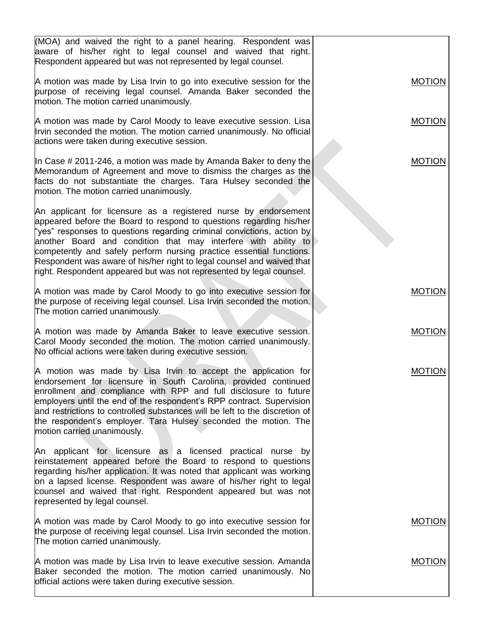| (MOA) and waived the right to a panel hearing. Respondent was<br>aware of his/her right to legal counsel and waived that right.<br>Respondent appeared but was not represented by legal counsel.                                                                                                                                                                                                                                                                                                             |               |
|--------------------------------------------------------------------------------------------------------------------------------------------------------------------------------------------------------------------------------------------------------------------------------------------------------------------------------------------------------------------------------------------------------------------------------------------------------------------------------------------------------------|---------------|
| A motion was made by Lisa Irvin to go into executive session for the<br>purpose of receiving legal counsel. Amanda Baker seconded the<br>motion. The motion carried unanimously.                                                                                                                                                                                                                                                                                                                             | <b>MOTION</b> |
| A motion was made by Carol Moody to leave executive session. Lisa<br>Irvin seconded the motion. The motion carried unanimously. No official<br>actions were taken during executive session.                                                                                                                                                                                                                                                                                                                  | <b>MOTION</b> |
| In Case # 2011-246, a motion was made by Amanda Baker to deny the<br>Memorandum of Agreement and move to dismiss the charges as the<br>facts do not substantiate the charges. Tara Hulsey seconded the<br>motion. The motion carried unanimously.                                                                                                                                                                                                                                                            | <b>MOTION</b> |
| An applicant for licensure as a registered nurse by endorsement<br>appeared before the Board to respond to questions regarding his/her<br>"yes" responses to questions regarding criminal convictions, action by<br>another Board and condition that may interfere with ability to<br>competently and safely perform nursing practice essential functions.<br>Respondent was aware of his/her right to legal counsel and waived that<br>right. Respondent appeared but was not represented by legal counsel. |               |
| A motion was made by Carol Moody to go into executive session for<br>the purpose of receiving legal counsel. Lisa Irvin seconded the motion.<br>The motion carried unanimously.                                                                                                                                                                                                                                                                                                                              | <b>MOTION</b> |
| A motion was made by Amanda Baker to leave executive session.<br>Carol Moody seconded the motion. The motion carried unanimously.<br>No official actions were taken during executive session.                                                                                                                                                                                                                                                                                                                | <b>MOTION</b> |
| A motion was made by Lisa Irvin to accept the application for<br>endorsement for licensure in South Carolina, provided continued<br>enrollment and compliance with RPP and full disclosure to future<br>employers until the end of the respondent's RPP contract. Supervision<br>and restrictions to controlled substances will be left to the discretion of<br>the respondent's employer. Tara Hulsey seconded the motion. The<br>motion carried unanimously.                                               | <b>MOTION</b> |
| An applicant for licensure as a licensed practical nurse by<br>reinstatement appeared before the Board to respond to questions<br>regarding his/her application. It was noted that applicant was working<br>on a lapsed license. Respondent was aware of his/her right to legal<br>counsel and waived that right. Respondent appeared but was not<br>represented by legal counsel.                                                                                                                           |               |
| A motion was made by Carol Moody to go into executive session for<br>the purpose of receiving legal counsel. Lisa Irvin seconded the motion.<br>The motion carried unanimously.                                                                                                                                                                                                                                                                                                                              | <b>MOTION</b> |
| A motion was made by Lisa Irvin to leave executive session. Amanda<br>Baker seconded the motion. The motion carried unanimously. No<br>official actions were taken during executive session.                                                                                                                                                                                                                                                                                                                 | <b>MOTION</b> |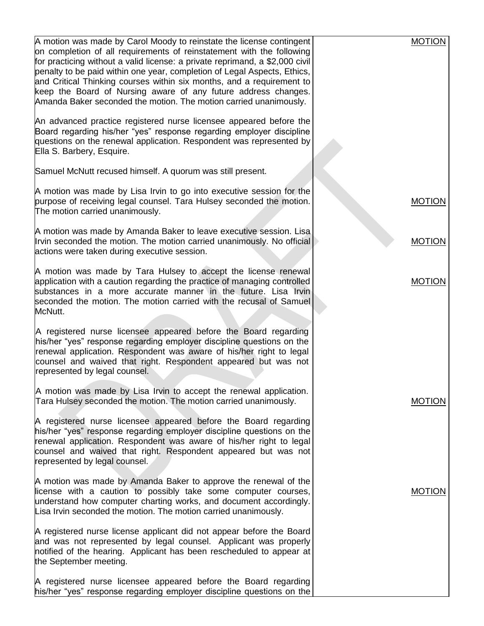| A motion was made by Carol Moody to reinstate the license contingent                                                                                                                                                                                                                                                                                                                                                                              | <b>MOTION</b> |
|---------------------------------------------------------------------------------------------------------------------------------------------------------------------------------------------------------------------------------------------------------------------------------------------------------------------------------------------------------------------------------------------------------------------------------------------------|---------------|
| on completion of all requirements of reinstatement with the following<br>for practicing without a valid license: a private reprimand, a \$2,000 civil<br>penalty to be paid within one year, completion of Legal Aspects, Ethics,<br>and Critical Thinking courses within six months, and a requirement to<br>keep the Board of Nursing aware of any future address changes.<br>Amanda Baker seconded the motion. The motion carried unanimously. |               |
| An advanced practice registered nurse licensee appeared before the<br>Board regarding his/her "yes" response regarding employer discipline<br>questions on the renewal application. Respondent was represented by<br>Ella S. Barbery, Esquire.                                                                                                                                                                                                    |               |
| Samuel McNutt recused himself. A quorum was still present.                                                                                                                                                                                                                                                                                                                                                                                        |               |
| A motion was made by Lisa Irvin to go into executive session for the<br>purpose of receiving legal counsel. Tara Hulsey seconded the motion.<br>The motion carried unanimously.                                                                                                                                                                                                                                                                   | <b>MOTION</b> |
| A motion was made by Amanda Baker to leave executive session. Lisa<br>Irvin seconded the motion. The motion carried unanimously. No official<br>actions were taken during executive session.                                                                                                                                                                                                                                                      | <b>MOTION</b> |
| A motion was made by Tara Hulsey to accept the license renewal<br>application with a caution regarding the practice of managing controlled<br>substances in a more accurate manner in the future. Lisa Irvin<br>seconded the motion. The motion carried with the recusal of Samuel<br>McNutt.                                                                                                                                                     | <b>MOTION</b> |
| A registered nurse licensee appeared before the Board regarding<br>his/her "yes" response regarding employer discipline questions on the<br>renewal application. Respondent was aware of his/her right to legal<br>counsel and waived that right. Respondent appeared but was not<br>represented by legal counsel.                                                                                                                                |               |
| A motion was made by Lisa Irvin to accept the renewal application.<br>Tara Hulsey seconded the motion. The motion carried unanimously.                                                                                                                                                                                                                                                                                                            | <b>MOTION</b> |
| A registered nurse licensee appeared before the Board regarding<br>his/her "yes" response regarding employer discipline questions on the<br>renewal application. Respondent was aware of his/her right to legal<br>counsel and waived that right. Respondent appeared but was not<br>represented by legal counsel.                                                                                                                                |               |
| A motion was made by Amanda Baker to approve the renewal of the<br>license with a caution to possibly take some computer courses,<br>understand how computer charting works, and document accordingly.<br>Lisa Irvin seconded the motion. The motion carried unanimously.                                                                                                                                                                         | <b>MOTION</b> |
| A registered nurse license applicant did not appear before the Board<br>and was not represented by legal counsel. Applicant was properly<br>notified of the hearing. Applicant has been rescheduled to appear at<br>the September meeting.                                                                                                                                                                                                        |               |
| A registered nurse licensee appeared before the Board regarding<br>his/her "yes" response regarding employer discipline questions on the                                                                                                                                                                                                                                                                                                          |               |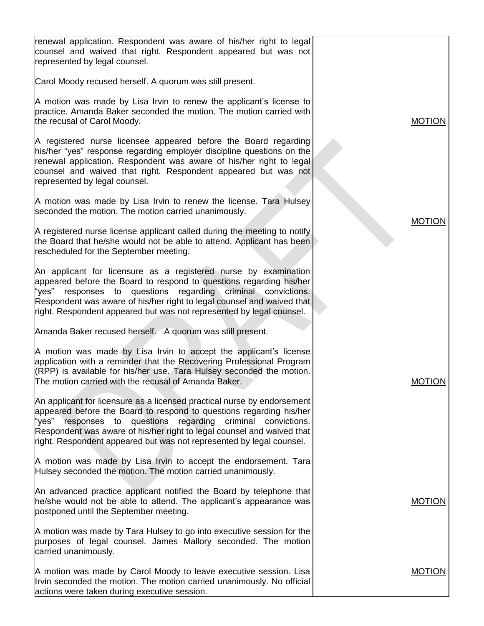| <b>MOTION</b> |
|---------------|
|               |
| <b>MOTION</b> |
|               |
|               |
|               |
| <b>MOTION</b> |
|               |
|               |
| <b>MOTION</b> |
|               |
| <b>MOTION</b> |
|               |